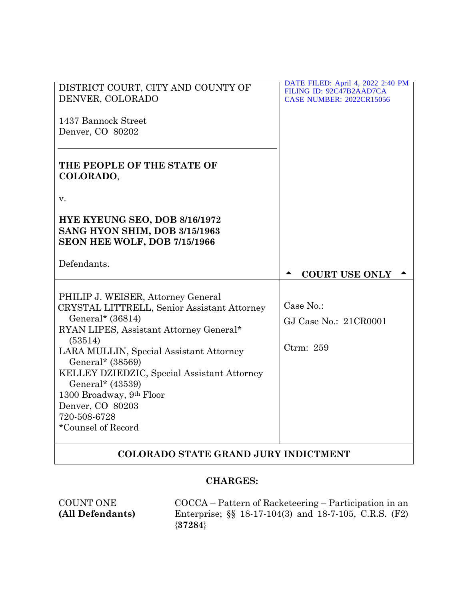| DISTRICT COURT, CITY AND COUNTY OF<br>DENVER, COLORADO                                                                                                                                                                                                                                                                                                                              | <u>DATE FILED: April 4, 2022 2:40 PM</u><br>FILING ID: 92C47B2AAD7CA<br><b>CASE NUMBER: 2022CR15056</b> |
|-------------------------------------------------------------------------------------------------------------------------------------------------------------------------------------------------------------------------------------------------------------------------------------------------------------------------------------------------------------------------------------|---------------------------------------------------------------------------------------------------------|
| 1437 Bannock Street<br>Denver, CO 80202                                                                                                                                                                                                                                                                                                                                             |                                                                                                         |
| THE PEOPLE OF THE STATE OF<br>COLORADO,                                                                                                                                                                                                                                                                                                                                             |                                                                                                         |
| v.                                                                                                                                                                                                                                                                                                                                                                                  |                                                                                                         |
| HYE KYEUNG SEO, DOB 8/16/1972<br>SANG HYON SHIM, DOB 3/15/1963<br>SEON HEE WOLF, DOB 7/15/1966                                                                                                                                                                                                                                                                                      |                                                                                                         |
|                                                                                                                                                                                                                                                                                                                                                                                     |                                                                                                         |
| Defendants.                                                                                                                                                                                                                                                                                                                                                                         |                                                                                                         |
|                                                                                                                                                                                                                                                                                                                                                                                     | <b>COURT USE ONLY</b>                                                                                   |
| PHILIP J. WEISER, Attorney General<br>CRYSTAL LITTRELL, Senior Assistant Attorney<br>General* (36814)<br>RYAN LIPES, Assistant Attorney General*<br>(53514)<br>LARA MULLIN, Special Assistant Attorney<br>General* (38569)<br>KELLEY DZIEDZIC, Special Assistant Attorney<br>General* (43539)<br>1300 Broadway, 9th Floor<br>Denver, CO 80203<br>720-508-6728<br>*Counsel of Record | Case No.:<br>GJ Case No.: 21CR0001<br>Ctrm: 259                                                         |

# **COLORADO STATE GRAND JURY INDICTMENT**

# **CHARGES:**

COUNT ONE **(All Defendants)**

COCCA – Pattern of Racketeering – Participation in an Enterprise; §§ 18-17-104(3) and 18-7-105, C.R.S. (F2) {**37284**}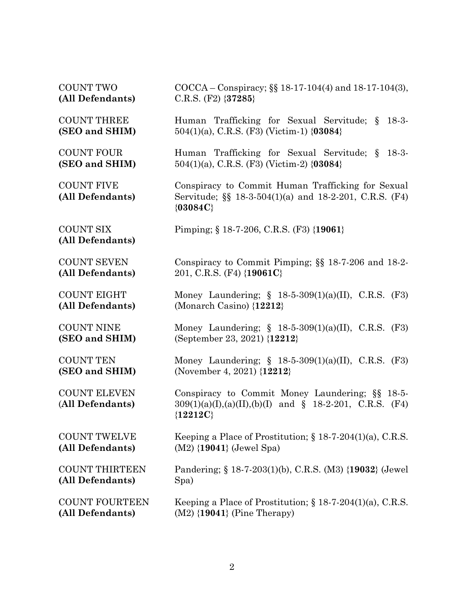| <b>COUNT TWO</b>                        | COCCA – Conspiracy; §§ 18-17-104(4) and 18-17-104(3),                                                                        |
|-----------------------------------------|------------------------------------------------------------------------------------------------------------------------------|
| (All Defendants)                        | C.R.S. $(F2)$ {37285}                                                                                                        |
| <b>COUNT THREE</b><br>(SEO and SHIM)    | Human Trafficking for Sexual Servitude; §<br>$18-3-$<br>$504(1)(a)$ , C.R.S. (F3) (Victim-1) {03084}                         |
| <b>COUNT FOUR</b>                       | Human Trafficking for Sexual Servitude; § 18-3-                                                                              |
| (SEO and SHIM)                          | $504(1)(a)$ , C.R.S. (F3) (Victim-2) {03084}                                                                                 |
| <b>COUNT FIVE</b><br>(All Defendants)   | Conspiracy to Commit Human Trafficking for Sexual<br>Servitude; §§ 18-3-504(1)(a) and 18-2-201, C.R.S. (F4)<br>${03084C}$    |
| <b>COUNT SIX</b><br>(All Defendants)    | Pimping; § 18-7-206, C.R.S. (F3) {19061}                                                                                     |
| <b>COUNT SEVEN</b>                      | Conspiracy to Commit Pimping; §§ 18-7-206 and 18-2-                                                                          |
| (All Defendants)                        | 201, C.R.S. (F4) $\{19061C\}$                                                                                                |
| <b>COUNT EIGHT</b>                      | Money Laundering; $\S$ 18-5-309(1)(a)(II), C.R.S. (F3)                                                                       |
| (All Defendants)                        | (Monarch Casino) $\{12212\}$                                                                                                 |
| <b>COUNT NINE</b>                       | Money Laundering; $\S$ 18-5-309(1)(a)(II), C.R.S. (F3)                                                                       |
| (SEO and SHIM)                          | (September 23, 2021) {12212}                                                                                                 |
| <b>COUNT TEN</b>                        | Money Laundering; $\S$ 18-5-309(1)(a)(II), C.R.S. (F3)                                                                       |
| (SEO and SHIM)                          | (November 4, 2021) $\{12212\}$                                                                                               |
| <b>COUNT ELEVEN</b><br>(All Defendants) | Conspiracy to Commit Money Laundering; §§ 18-5-<br>$309(1)(a)(I), (a)(II), (b)(I)$ and § 18-2-201, C.R.S. (F4)<br>${12212C}$ |
| <b>COUNT TWELVE</b>                     | Keeping a Place of Prostitution; $\S$ 18-7-204(1)(a), C.R.S.                                                                 |
| (All Defendants)                        | $(M2)$ {19041} (Jewel Spa)                                                                                                   |
| <b>COUNT THIRTEEN</b>                   | Pandering; § 18-7-203(1)(b), C.R.S. (M3) {19032} (Jewel)                                                                     |
| (All Defendants)                        | Spa)                                                                                                                         |
| <b>COUNT FOURTEEN</b>                   | Keeping a Place of Prostitution; $\S$ 18-7-204(1)(a), C.R.S.                                                                 |
| (All Defendants)                        | $(M2)$ {19041} (Pine Therapy)                                                                                                |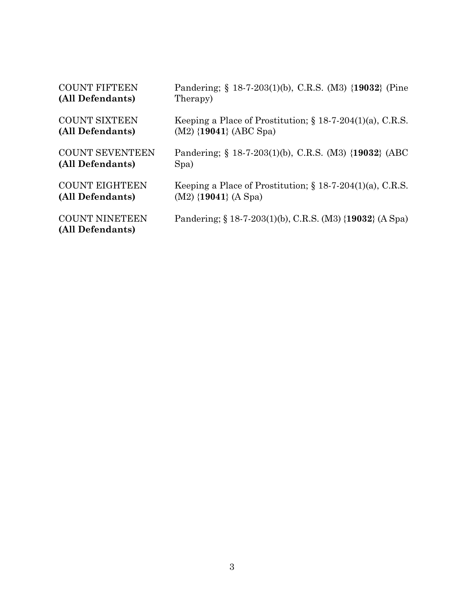| <b>COUNT FIFTEEN</b>                      | Pandering; § 18-7-203(1)(b), C.R.S. (M3) {19032} (Pine       |
|-------------------------------------------|--------------------------------------------------------------|
| (All Defendants)                          | Therapy)                                                     |
| <b>COUNT SIXTEEN</b>                      | Keeping a Place of Prostitution; $\S$ 18-7-204(1)(a), C.R.S. |
| (All Defendants)                          | $(M2)$ {19041} (ABC Spa)                                     |
| <b>COUNT SEVENTEEN</b>                    | Pandering; § 18-7-203(1)(b), C.R.S. (M3) {19032} (ABC        |
| (All Defendants)                          | Spa)                                                         |
| <b>COUNT EIGHTEEN</b>                     | Keeping a Place of Prostitution; $\S$ 18-7-204(1)(a), C.R.S. |
| (All Defendants)                          | $(M2)$ {19041} (A Spa)                                       |
| <b>COUNT NINETEEN</b><br>(All Defendants) | Pandering; § 18-7-203(1)(b), C.R.S. (M3) {19032} (A Spa)     |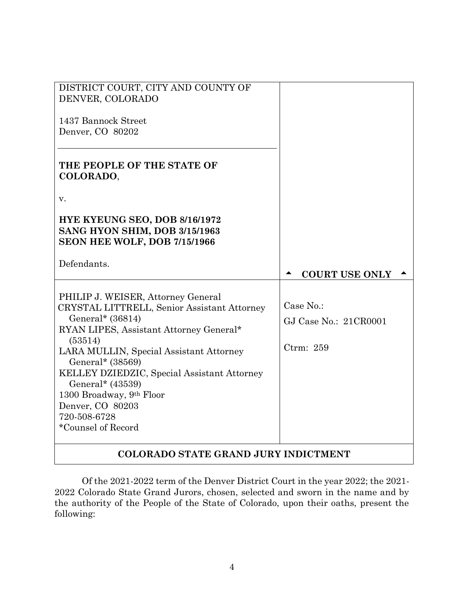| DISTRICT COURT, CITY AND COUNTY OF<br>DENVER, COLORADO                                                                                                                                                                                                                                                                                                                              |                                                 |
|-------------------------------------------------------------------------------------------------------------------------------------------------------------------------------------------------------------------------------------------------------------------------------------------------------------------------------------------------------------------------------------|-------------------------------------------------|
| 1437 Bannock Street                                                                                                                                                                                                                                                                                                                                                                 |                                                 |
| Denver, CO 80202                                                                                                                                                                                                                                                                                                                                                                    |                                                 |
| THE PEOPLE OF THE STATE OF<br>COLORADO,                                                                                                                                                                                                                                                                                                                                             |                                                 |
| v.                                                                                                                                                                                                                                                                                                                                                                                  |                                                 |
| <b>HYE KYEUNG SEO, DOB 8/16/1972</b><br>SANG HYON SHIM, DOB 3/15/1963<br>SEON HEE WOLF, DOB 7/15/1966                                                                                                                                                                                                                                                                               |                                                 |
| Defendants.                                                                                                                                                                                                                                                                                                                                                                         | <b>COURT USE ONLY</b>                           |
| PHILIP J. WEISER, Attorney General<br>CRYSTAL LITTRELL, Senior Assistant Attorney<br>General* (36814)<br>RYAN LIPES, Assistant Attorney General*<br>(53514)<br>LARA MULLIN, Special Assistant Attorney<br>General* (38569)<br>KELLEY DZIEDZIC, Special Assistant Attorney<br>General* (43539)<br>1300 Broadway, 9th Floor<br>Denver, CO 80203<br>720-508-6728<br>*Counsel of Record | Case No.:<br>GJ Case No.: 21CR0001<br>Ctrm: 259 |
| COLODADO STATE CDAND. HIDV INDICTMENT                                                                                                                                                                                                                                                                                                                                               |                                                 |

# **COLORADO STATE GRAND JURY INDICTMENT**

Of the 2021-2022 term of the Denver District Court in the year 2022; the 2021- 2022 Colorado State Grand Jurors, chosen, selected and sworn in the name and by the authority of the People of the State of Colorado, upon their oaths, present the following: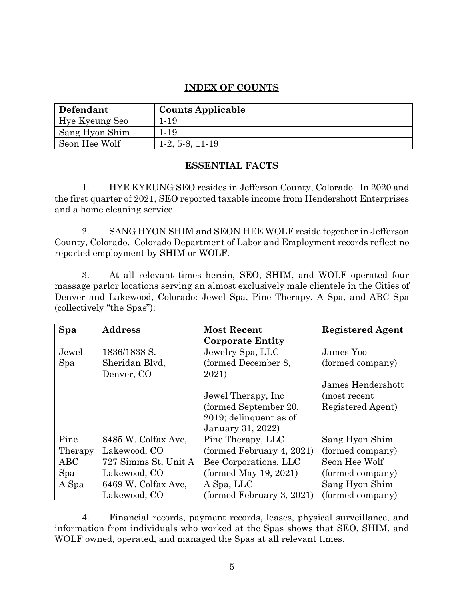# **INDEX OF COUNTS**

| Defendant      | <b>Counts Applicable</b> |
|----------------|--------------------------|
| Hye Kyeung Seo | 1-19                     |
| Sang Hyon Shim | 1.19                     |
| Seon Hee Wolf  | $1-2, 5-8, 11-19$        |

### **ESSENTIAL FACTS**

1. HYE KYEUNG SEO resides in Jefferson County, Colorado. In 2020 and the first quarter of 2021, SEO reported taxable income from Hendershott Enterprises and a home cleaning service.

2. SANG HYON SHIM and SEON HEE WOLF reside together in Jefferson County, Colorado. Colorado Department of Labor and Employment records reflect no reported employment by SHIM or WOLF.

3. At all relevant times herein, SEO, SHIM, and WOLF operated four massage parlor locations serving an almost exclusively male clientele in the Cities of Denver and Lakewood, Colorado: Jewel Spa, Pine Therapy, A Spa, and ABC Spa (collectively "the Spas"):

| Spa     | <b>Address</b>       | <b>Most Recent</b>        | <b>Registered Agent</b> |
|---------|----------------------|---------------------------|-------------------------|
|         |                      | <b>Corporate Entity</b>   |                         |
| Jewel   | 1836/1838 S.         | Jewelry Spa, LLC          | James Yoo               |
| Spa     | Sheridan Blvd,       | (formed December 8,       | (formed company)        |
|         | Denver, CO           | 2021)                     |                         |
|         |                      |                           | James Hendershott       |
|         |                      | Jewel Therapy, Inc.       | (most recent            |
|         |                      | (formed September 20,     | Registered Agent)       |
|         |                      | 2019; delinquent as of    |                         |
|         |                      | <b>January 31, 2022)</b>  |                         |
| Pine    | 8485 W. Colfax Ave.  | Pine Therapy, LLC         | Sang Hyon Shim          |
| Therapy | Lakewood, CO         | (formed February 4, 2021) | (formed company)        |
| ABC     | 727 Simms St, Unit A | Bee Corporations, LLC     | Seon Hee Wolf           |
| Spa     | Lakewood, CO         | (fromed May 19, 2021)     | (formed company)        |
| A Spa   | 6469 W. Colfax Ave,  | A Spa, LLC                | Sang Hyon Shim          |
|         | Lakewood, CO         | (formed February 3, 2021) | (formed company)        |

4. Financial records, payment records, leases, physical surveillance, and information from individuals who worked at the Spas shows that SEO, SHIM, and WOLF owned, operated, and managed the Spas at all relevant times.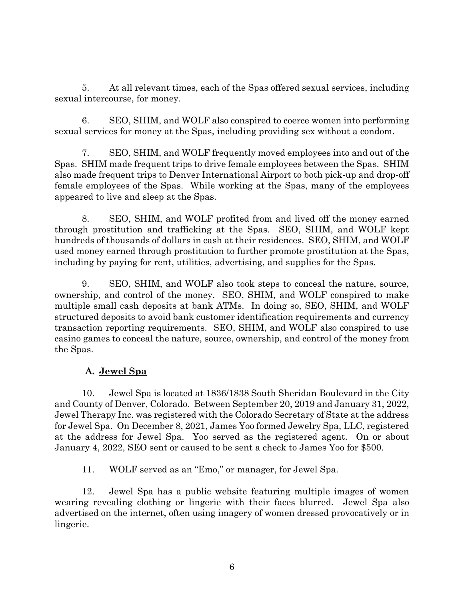5. At all relevant times, each of the Spas offered sexual services, including sexual intercourse, for money.

6. SEO, SHIM, and WOLF also conspired to coerce women into performing sexual services for money at the Spas, including providing sex without a condom.

7. SEO, SHIM, and WOLF frequently moved employees into and out of the Spas. SHIM made frequent trips to drive female employees between the Spas. SHIM also made frequent trips to Denver International Airport to both pick-up and drop-off female employees of the Spas. While working at the Spas, many of the employees appeared to live and sleep at the Spas.

8. SEO, SHIM, and WOLF profited from and lived off the money earned through prostitution and trafficking at the Spas. SEO, SHIM, and WOLF kept hundreds of thousands of dollars in cash at their residences. SEO, SHIM, and WOLF used money earned through prostitution to further promote prostitution at the Spas, including by paying for rent, utilities, advertising, and supplies for the Spas.

9. SEO, SHIM, and WOLF also took steps to conceal the nature, source, ownership, and control of the money. SEO, SHIM, and WOLF conspired to make multiple small cash deposits at bank ATMs. In doing so, SEO, SHIM, and WOLF structured deposits to avoid bank customer identification requirements and currency transaction reporting requirements. SEO, SHIM, and WOLF also conspired to use casino games to conceal the nature, source, ownership, and control of the money from the Spas.

# **A. Jewel Spa**

10. Jewel Spa is located at 1836/1838 South Sheridan Boulevard in the City and County of Denver, Colorado. Between September 20, 2019 and January 31, 2022, Jewel Therapy Inc. was registered with the Colorado Secretary of State at the address for Jewel Spa. On December 8, 2021, James Yoo formed Jewelry Spa, LLC, registered at the address for Jewel Spa. Yoo served as the registered agent. On or about January 4, 2022, SEO sent or caused to be sent a check to James Yoo for \$500.

11. WOLF served as an "Emo," or manager, for Jewel Spa.

12. Jewel Spa has a public website featuring multiple images of women wearing revealing clothing or lingerie with their faces blurred. Jewel Spa also advertised on the internet, often using imagery of women dressed provocatively or in lingerie.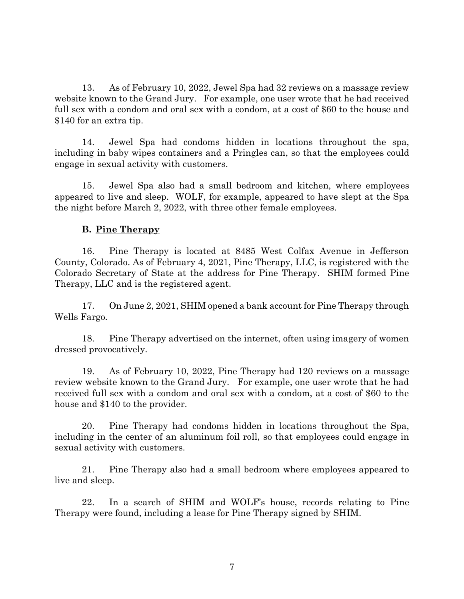13. As of February 10, 2022, Jewel Spa had 32 reviews on a massage review website known to the Grand Jury. For example, one user wrote that he had received full sex with a condom and oral sex with a condom, at a cost of \$60 to the house and \$140 for an extra tip.

14. Jewel Spa had condoms hidden in locations throughout the spa, including in baby wipes containers and a Pringles can, so that the employees could engage in sexual activity with customers.

15. Jewel Spa also had a small bedroom and kitchen, where employees appeared to live and sleep. WOLF, for example, appeared to have slept at the Spa the night before March 2, 2022, with three other female employees.

#### **B. Pine Therapy**

16. Pine Therapy is located at 8485 West Colfax Avenue in Jefferson County, Colorado. As of February 4, 2021, Pine Therapy, LLC, is registered with the Colorado Secretary of State at the address for Pine Therapy. SHIM formed Pine Therapy, LLC and is the registered agent.

17. On June 2, 2021, SHIM opened a bank account for Pine Therapy through Wells Fargo.

18. Pine Therapy advertised on the internet, often using imagery of women dressed provocatively.

19. As of February 10, 2022, Pine Therapy had 120 reviews on a massage review website known to the Grand Jury. For example, one user wrote that he had received full sex with a condom and oral sex with a condom, at a cost of \$60 to the house and \$140 to the provider.

20. Pine Therapy had condoms hidden in locations throughout the Spa, including in the center of an aluminum foil roll, so that employees could engage in sexual activity with customers.

21. Pine Therapy also had a small bedroom where employees appeared to live and sleep.

22. In a search of SHIM and WOLF's house, records relating to Pine Therapy were found, including a lease for Pine Therapy signed by SHIM.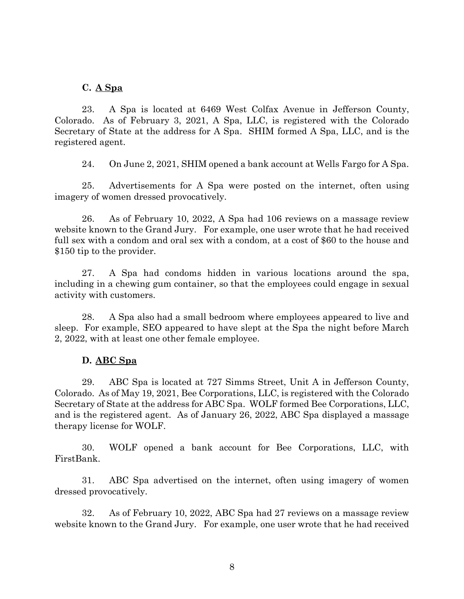#### **C. A Spa**

23. A Spa is located at 6469 West Colfax Avenue in Jefferson County, Colorado. As of February 3, 2021, A Spa, LLC, is registered with the Colorado Secretary of State at the address for A Spa. SHIM formed A Spa, LLC, and is the registered agent.

24. On June 2, 2021, SHIM opened a bank account at Wells Fargo for A Spa.

25. Advertisements for A Spa were posted on the internet, often using imagery of women dressed provocatively.

26. As of February 10, 2022, A Spa had 106 reviews on a massage review website known to the Grand Jury. For example, one user wrote that he had received full sex with a condom and oral sex with a condom, at a cost of \$60 to the house and \$150 tip to the provider.

27. A Spa had condoms hidden in various locations around the spa, including in a chewing gum container, so that the employees could engage in sexual activity with customers.

28. A Spa also had a small bedroom where employees appeared to live and sleep. For example, SEO appeared to have slept at the Spa the night before March 2, 2022, with at least one other female employee.

#### **D. ABC Spa**

29. ABC Spa is located at 727 Simms Street, Unit A in Jefferson County, Colorado. As of May 19, 2021, Bee Corporations, LLC, is registered with the Colorado Secretary of State at the address for ABC Spa. WOLF formed Bee Corporations, LLC, and is the registered agent. As of January 26, 2022, ABC Spa displayed a massage therapy license for WOLF.

30. WOLF opened a bank account for Bee Corporations, LLC, with FirstBank.

31. ABC Spa advertised on the internet, often using imagery of women dressed provocatively.

32. As of February 10, 2022, ABC Spa had 27 reviews on a massage review website known to the Grand Jury. For example, one user wrote that he had received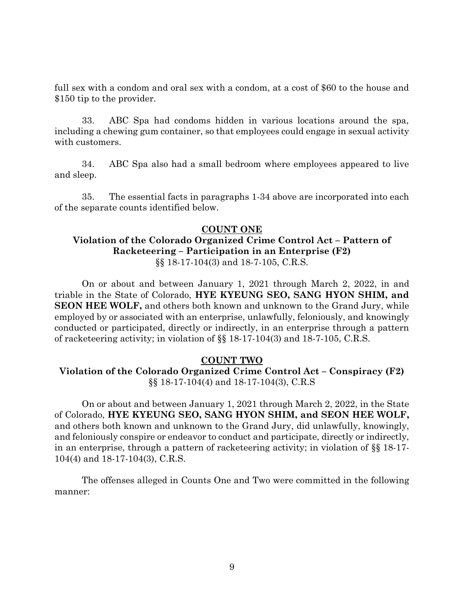full sex with a condom and oral sex with a condom, at a cost of \$60 to the house and \$150 tip to the provider.

33. ABC Spa had condoms hidden in various locations around the spa, including a chewing gum container, so that employees could engage in sexual activity with customers.

34. ABC Spa also had a small bedroom where employees appeared to live and sleep.

35. The essential facts in paragraphs 1-34 above are incorporated into each of the separate counts identified below.

### **COUNT ONE**

# **Violation of the Colorado Organized Crime Control Act – Pattern of Racketeering – Participation in an Enterprise (F2)** §§ 18-17-104(3) and 18-7-105, C.R.S.

On or about and between January 1, 2021 through March 2, 2022, in and triable in the State of Colorado, **HYE KYEUNG SEO, SANG HYON SHIM, and SEON HEE WOLF,** and others both known and unknown to the Grand Jury, while employed by or associated with an enterprise, unlawfully, feloniously, and knowingly conducted or participated, directly or indirectly, in an enterprise through a pattern of racketeering activity; in violation of §§ 18-17-104(3) and 18-7-105, C.R.S.

### **COUNT TWO**

# **Violation of the Colorado Organized Crime Control Act – Conspiracy (F2)** §§ 18-17-104(4) and 18-17-104(3), C.R.S

On or about and between January 1, 2021 through March 2, 2022, in the State of Colorado, **HYE KYEUNG SEO, SANG HYON SHIM, and SEON HEE WOLF,**  and others both known and unknown to the Grand Jury, did unlawfully, knowingly, and feloniously conspire or endeavor to conduct and participate, directly or indirectly, in an enterprise, through a pattern of racketeering activity; in violation of §§ 18-17- 104(4) and 18-17-104(3), C.R.S.

The offenses alleged in Counts One and Two were committed in the following manner: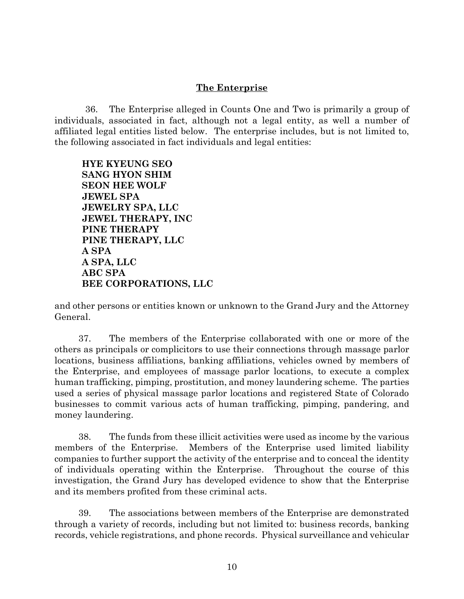## **The Enterprise**

36. The Enterprise alleged in Counts One and Two is primarily a group of individuals, associated in fact, although not a legal entity, as well a number of affiliated legal entities listed below. The enterprise includes, but is not limited to, the following associated in fact individuals and legal entities:

**HYE KYEUNG SEO SANG HYON SHIM SEON HEE WOLF JEWEL SPA JEWELRY SPA, LLC JEWEL THERAPY, INC PINE THERAPY PINE THERAPY, LLC A SPA A SPA, LLC ABC SPA BEE CORPORATIONS, LLC**

and other persons or entities known or unknown to the Grand Jury and the Attorney General.

37. The members of the Enterprise collaborated with one or more of the others as principals or complicitors to use their connections through massage parlor locations, business affiliations, banking affiliations, vehicles owned by members of the Enterprise, and employees of massage parlor locations, to execute a complex human trafficking, pimping, prostitution, and money laundering scheme. The parties used a series of physical massage parlor locations and registered State of Colorado businesses to commit various acts of human trafficking, pimping, pandering, and money laundering.

38. The funds from these illicit activities were used as income by the various members of the Enterprise. Members of the Enterprise used limited liability companies to further support the activity of the enterprise and to conceal the identity of individuals operating within the Enterprise. Throughout the course of this investigation, the Grand Jury has developed evidence to show that the Enterprise and its members profited from these criminal acts.

39. The associations between members of the Enterprise are demonstrated through a variety of records, including but not limited to: business records, banking records, vehicle registrations, and phone records. Physical surveillance and vehicular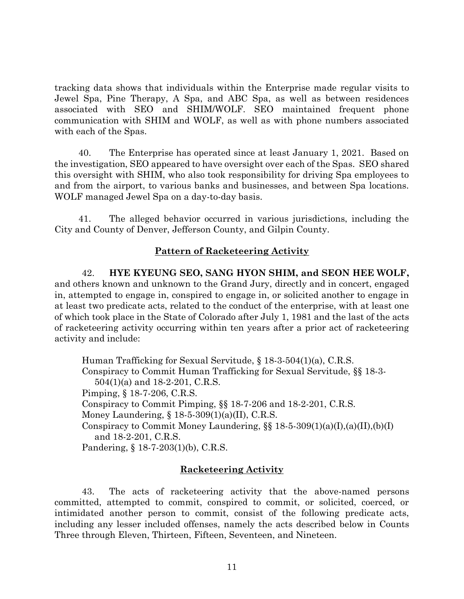tracking data shows that individuals within the Enterprise made regular visits to Jewel Spa, Pine Therapy, A Spa, and ABC Spa, as well as between residences associated with SEO and SHIM/WOLF. SEO maintained frequent phone communication with SHIM and WOLF, as well as with phone numbers associated with each of the Spas.

40. The Enterprise has operated since at least January 1, 2021. Based on the investigation, SEO appeared to have oversight over each of the Spas. SEO shared this oversight with SHIM, who also took responsibility for driving Spa employees to and from the airport, to various banks and businesses, and between Spa locations. WOLF managed Jewel Spa on a day-to-day basis.

41. The alleged behavior occurred in various jurisdictions, including the City and County of Denver, Jefferson County, and Gilpin County.

# **Pattern of Racketeering Activity**

42. **HYE KYEUNG SEO, SANG HYON SHIM, and SEON HEE WOLF,**  and others known and unknown to the Grand Jury, directly and in concert, engaged in, attempted to engage in, conspired to engage in, or solicited another to engage in at least two predicate acts, related to the conduct of the enterprise, with at least one of which took place in the State of Colorado after July 1, 1981 and the last of the acts of racketeering activity occurring within ten years after a prior act of racketeering activity and include:

Human Trafficking for Sexual Servitude, § 18-3-504(1)(a), C.R.S. Conspiracy to Commit Human Trafficking for Sexual Servitude, §§ 18-3- 504(1)(a) and 18-2-201, C.R.S. Pimping, § 18-7-206, C.R.S. Conspiracy to Commit Pimping, §§ 18-7-206 and 18-2-201, C.R.S. Money Laundering, § 18-5-309(1)(a)(II), C.R.S. Conspiracy to Commit Money Laundering,  $\S$   $18-5-309(1)(a)(I), (a)(II), (b)(I)$  and 18-2-201, C.R.S. Pandering, § 18-7-203(1)(b), C.R.S.

# **Racketeering Activity**

43. The acts of racketeering activity that the above-named persons committed, attempted to commit, conspired to commit, or solicited, coerced, or intimidated another person to commit, consist of the following predicate acts, including any lesser included offenses, namely the acts described below in Counts Three through Eleven, Thirteen, Fifteen, Seventeen, and Nineteen.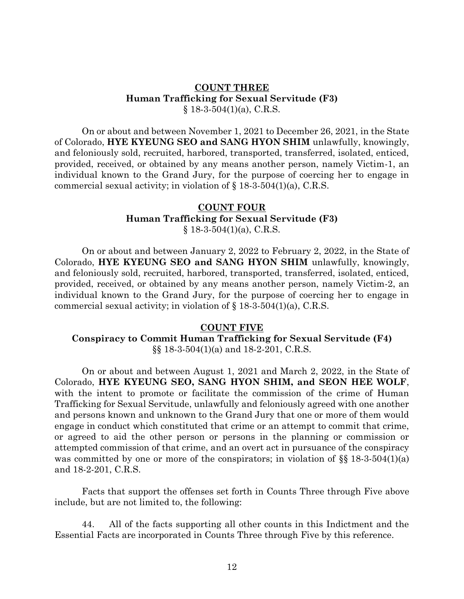#### **COUNT THREE Human Trafficking for Sexual Servitude (F3)**  $$18-3-504(1)(a)$ , C.R.S.

On or about and between November 1, 2021 to December 26, 2021, in the State of Colorado, **HYE KYEUNG SEO and SANG HYON SHIM** unlawfully, knowingly, and feloniously sold, recruited, harbored, transported, transferred, isolated, enticed, provided, received, or obtained by any means another person, namely Victim-1, an individual known to the Grand Jury, for the purpose of coercing her to engage in commercial sexual activity; in violation of  $\S$  18-3-504(1)(a), C.R.S.

### **COUNT FOUR Human Trafficking for Sexual Servitude (F3)**  $§$  18-3-504(1)(a), C.R.S.

On or about and between January 2, 2022 to February 2, 2022, in the State of Colorado, **HYE KYEUNG SEO and SANG HYON SHIM** unlawfully, knowingly, and feloniously sold, recruited, harbored, transported, transferred, isolated, enticed, provided, received, or obtained by any means another person, namely Victim-2, an individual known to the Grand Jury, for the purpose of coercing her to engage in commercial sexual activity; in violation of  $\S$  18-3-504(1)(a), C.R.S.

### **COUNT FIVE**

### **Conspiracy to Commit Human Trafficking for Sexual Servitude (F4)** §§ 18-3-504(1)(a) and 18-2-201, C.R.S.

On or about and between August 1, 2021 and March 2, 2022, in the State of Colorado, **HYE KYEUNG SEO, SANG HYON SHIM, and SEON HEE WOLF**, with the intent to promote or facilitate the commission of the crime of Human Trafficking for Sexual Servitude, unlawfully and feloniously agreed with one another and persons known and unknown to the Grand Jury that one or more of them would engage in conduct which constituted that crime or an attempt to commit that crime, or agreed to aid the other person or persons in the planning or commission or attempted commission of that crime, and an overt act in pursuance of the conspiracy was committed by one or more of the conspirators; in violation of  $\S$  18-3-504(1)(a) and 18-2-201, C.R.S.

Facts that support the offenses set forth in Counts Three through Five above include, but are not limited to, the following:

44. All of the facts supporting all other counts in this Indictment and the Essential Facts are incorporated in Counts Three through Five by this reference.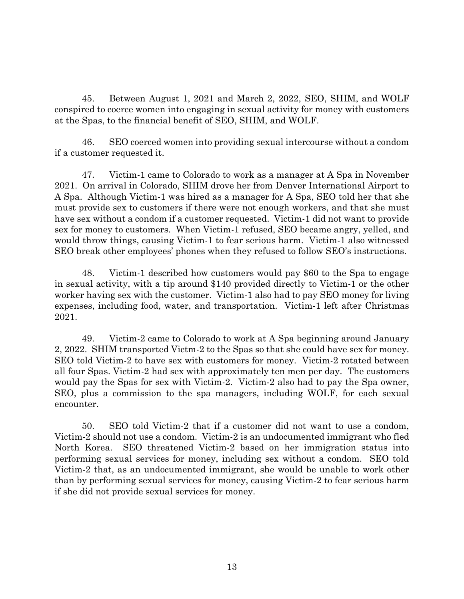45. Between August 1, 2021 and March 2, 2022, SEO, SHIM, and WOLF conspired to coerce women into engaging in sexual activity for money with customers at the Spas, to the financial benefit of SEO, SHIM, and WOLF.

46. SEO coerced women into providing sexual intercourse without a condom if a customer requested it.

47. Victim-1 came to Colorado to work as a manager at A Spa in November 2021. On arrival in Colorado, SHIM drove her from Denver International Airport to A Spa. Although Victim-1 was hired as a manager for A Spa, SEO told her that she must provide sex to customers if there were not enough workers, and that she must have sex without a condom if a customer requested. Victim-1 did not want to provide sex for money to customers. When Victim-1 refused, SEO became angry, yelled, and would throw things, causing Victim-1 to fear serious harm. Victim-1 also witnessed SEO break other employees' phones when they refused to follow SEO's instructions.

48. Victim-1 described how customers would pay \$60 to the Spa to engage in sexual activity, with a tip around \$140 provided directly to Victim-1 or the other worker having sex with the customer. Victim-1 also had to pay SEO money for living expenses, including food, water, and transportation. Victim-1 left after Christmas 2021.

49. Victim-2 came to Colorado to work at A Spa beginning around January 2, 2022. SHIM transported Victm-2 to the Spas so that she could have sex for money. SEO told Victim-2 to have sex with customers for money. Victim-2 rotated between all four Spas. Victim-2 had sex with approximately ten men per day. The customers would pay the Spas for sex with Victim-2. Victim-2 also had to pay the Spa owner, SEO, plus a commission to the spa managers, including WOLF, for each sexual encounter.

50. SEO told Victim-2 that if a customer did not want to use a condom, Victim-2 should not use a condom. Victim-2 is an undocumented immigrant who fled North Korea. SEO threatened Victim-2 based on her immigration status into performing sexual services for money, including sex without a condom. SEO told Victim-2 that, as an undocumented immigrant, she would be unable to work other than by performing sexual services for money, causing Victim-2 to fear serious harm if she did not provide sexual services for money.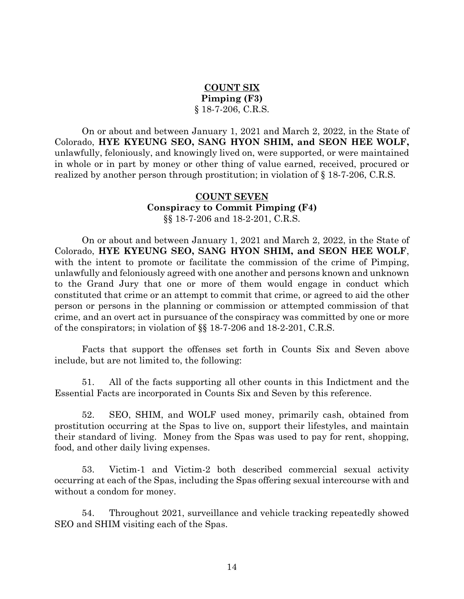# **COUNT SIX Pimping (F3)** § 18-7-206, C.R.S.

On or about and between January 1, 2021 and March 2, 2022, in the State of Colorado, **HYE KYEUNG SEO, SANG HYON SHIM, and SEON HEE WOLF,**  unlawfully, feloniously, and knowingly lived on, were supported, or were maintained in whole or in part by money or other thing of value earned, received, procured or realized by another person through prostitution; in violation of § 18-7-206, C.R.S.

### **COUNT SEVEN Conspiracy to Commit Pimping (F4)** §§ 18-7-206 and 18-2-201, C.R.S.

On or about and between January 1, 2021 and March 2, 2022, in the State of Colorado, **HYE KYEUNG SEO, SANG HYON SHIM, and SEON HEE WOLF**, with the intent to promote or facilitate the commission of the crime of Pimping, unlawfully and feloniously agreed with one another and persons known and unknown to the Grand Jury that one or more of them would engage in conduct which constituted that crime or an attempt to commit that crime, or agreed to aid the other person or persons in the planning or commission or attempted commission of that crime, and an overt act in pursuance of the conspiracy was committed by one or more of the conspirators; in violation of §§ 18-7-206 and 18-2-201, C.R.S.

Facts that support the offenses set forth in Counts Six and Seven above include, but are not limited to, the following:

51. All of the facts supporting all other counts in this Indictment and the Essential Facts are incorporated in Counts Six and Seven by this reference.

52. SEO, SHIM, and WOLF used money, primarily cash, obtained from prostitution occurring at the Spas to live on, support their lifestyles, and maintain their standard of living. Money from the Spas was used to pay for rent, shopping, food, and other daily living expenses.

53. Victim-1 and Victim-2 both described commercial sexual activity occurring at each of the Spas, including the Spas offering sexual intercourse with and without a condom for money.

54. Throughout 2021, surveillance and vehicle tracking repeatedly showed SEO and SHIM visiting each of the Spas.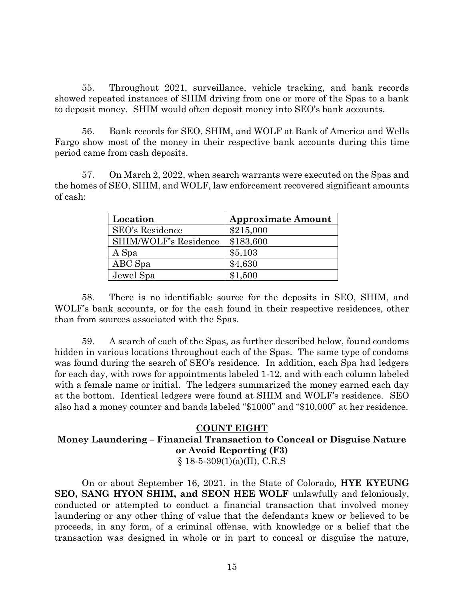55. Throughout 2021, surveillance, vehicle tracking, and bank records showed repeated instances of SHIM driving from one or more of the Spas to a bank to deposit money. SHIM would often deposit money into SEO's bank accounts.

56. Bank records for SEO, SHIM, and WOLF at Bank of America and Wells Fargo show most of the money in their respective bank accounts during this time period came from cash deposits.

57. On March 2, 2022, when search warrants were executed on the Spas and the homes of SEO, SHIM, and WOLF, law enforcement recovered significant amounts of cash:

| Location              | <b>Approximate Amount</b> |
|-----------------------|---------------------------|
| SEO's Residence       | \$215,000                 |
| SHIM/WOLF's Residence | \$183,600                 |
| A Spa                 | \$5,103                   |
| ABC Spa               | \$4,630                   |
| Jewel Spa             | \$1,500                   |

58. There is no identifiable source for the deposits in SEO, SHIM, and WOLF's bank accounts, or for the cash found in their respective residences, other than from sources associated with the Spas.

59. A search of each of the Spas, as further described below, found condoms hidden in various locations throughout each of the Spas. The same type of condoms was found during the search of SEO's residence. In addition, each Spa had ledgers for each day, with rows for appointments labeled 1-12, and with each column labeled with a female name or initial. The ledgers summarized the money earned each day at the bottom. Identical ledgers were found at SHIM and WOLF's residence. SEO also had a money counter and bands labeled "\$1000" and "\$10,000" at her residence.

#### **COUNT EIGHT**

# **Money Laundering – Financial Transaction to Conceal or Disguise Nature or Avoid Reporting (F3)**

 $§ 18-5-309(1)(a)(II), C.R.S$ 

On or about September 16, 2021, in the State of Colorado, **HYE KYEUNG SEO, SANG HYON SHIM, and SEON HEE WOLF** unlawfully and feloniously, conducted or attempted to conduct a financial transaction that involved money laundering or any other thing of value that the defendants knew or believed to be proceeds, in any form, of a criminal offense, with knowledge or a belief that the transaction was designed in whole or in part to conceal or disguise the nature,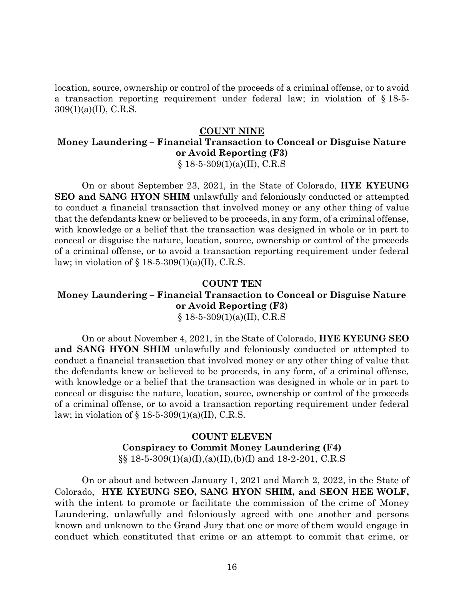location, source, ownership or control of the proceeds of a criminal offense, or to avoid a transaction reporting requirement under federal law; in violation of § 18-5- 309(1)(a)(II), C.R.S.

#### **COUNT NINE**

# **Money Laundering – Financial Transaction to Conceal or Disguise Nature or Avoid Reporting (F3)**

 $§$  18-5-309(1)(a)(II), C.R.S

On or about September 23, 2021, in the State of Colorado, **HYE KYEUNG SEO and SANG HYON SHIM** unlawfully and feloniously conducted or attempted to conduct a financial transaction that involved money or any other thing of value that the defendants knew or believed to be proceeds, in any form, of a criminal offense, with knowledge or a belief that the transaction was designed in whole or in part to conceal or disguise the nature, location, source, ownership or control of the proceeds of a criminal offense, or to avoid a transaction reporting requirement under federal law; in violation of  $\S$  18-5-309(1)(a)(II), C.R.S.

#### **COUNT TEN**

#### **Money Laundering – Financial Transaction to Conceal or Disguise Nature or Avoid Reporting (F3)**  $§ 18-5-309(1)(a)(II), C.R.S$

On or about November 4, 2021, in the State of Colorado, **HYE KYEUNG SEO and SANG HYON SHIM** unlawfully and feloniously conducted or attempted to conduct a financial transaction that involved money or any other thing of value that the defendants knew or believed to be proceeds, in any form, of a criminal offense, with knowledge or a belief that the transaction was designed in whole or in part to conceal or disguise the nature, location, source, ownership or control of the proceeds of a criminal offense, or to avoid a transaction reporting requirement under federal law; in violation of  $\S$  18-5-309(1)(a)(II), C.R.S.

## **COUNT ELEVEN Conspiracy to Commit Money Laundering (F4)**  $\S$ § 18-5-309(1)(a)(I),(a)(II),(b)(I) and 18-2-201, C.R.S

On or about and between January 1, 2021 and March 2, 2022, in the State of Colorado, **HYE KYEUNG SEO, SANG HYON SHIM, and SEON HEE WOLF,** with the intent to promote or facilitate the commission of the crime of Money Laundering, unlawfully and feloniously agreed with one another and persons known and unknown to the Grand Jury that one or more of them would engage in conduct which constituted that crime or an attempt to commit that crime, or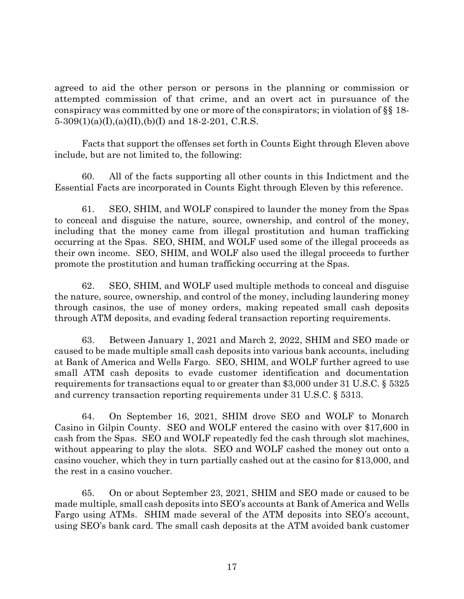agreed to aid the other person or persons in the planning or commission or attempted commission of that crime, and an overt act in pursuance of the conspiracy was committed by one or more of the conspirators; in violation of §§ 18-  $5-309(1)(a)(I), (a)(II), (b)(I)$  and  $18-2-201$ , C.R.S.

Facts that support the offenses set forth in Counts Eight through Eleven above include, but are not limited to, the following:

60. All of the facts supporting all other counts in this Indictment and the Essential Facts are incorporated in Counts Eight through Eleven by this reference.

61. SEO, SHIM, and WOLF conspired to launder the money from the Spas to conceal and disguise the nature, source, ownership, and control of the money, including that the money came from illegal prostitution and human trafficking occurring at the Spas. SEO, SHIM, and WOLF used some of the illegal proceeds as their own income. SEO, SHIM, and WOLF also used the illegal proceeds to further promote the prostitution and human trafficking occurring at the Spas.

62. SEO, SHIM, and WOLF used multiple methods to conceal and disguise the nature, source, ownership, and control of the money, including laundering money through casinos, the use of money orders, making repeated small cash deposits through ATM deposits, and evading federal transaction reporting requirements.

63. Between January 1, 2021 and March 2, 2022, SHIM and SEO made or caused to be made multiple small cash deposits into various bank accounts, including at Bank of America and Wells Fargo. SEO, SHIM, and WOLF further agreed to use small ATM cash deposits to evade customer identification and documentation requirements for transactions equal to or greater than \$3,000 under 31 U.S.C. § 5325 and currency transaction reporting requirements under 31 U.S.C. § 5313.

64. On September 16, 2021, SHIM drove SEO and WOLF to Monarch Casino in Gilpin County. SEO and WOLF entered the casino with over \$17,600 in cash from the Spas. SEO and WOLF repeatedly fed the cash through slot machines, without appearing to play the slots. SEO and WOLF cashed the money out onto a casino voucher, which they in turn partially cashed out at the casino for \$13,000, and the rest in a casino voucher.

65. On or about September 23, 2021, SHIM and SEO made or caused to be made multiple, small cash deposits into SEO's accounts at Bank of America and Wells Fargo using ATMs. SHIM made several of the ATM deposits into SEO's account, using SEO's bank card. The small cash deposits at the ATM avoided bank customer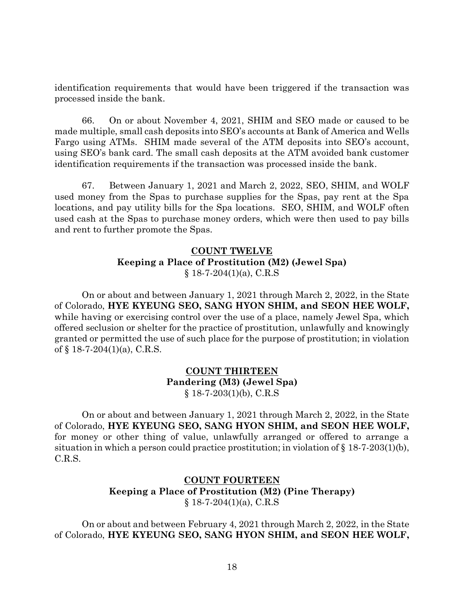identification requirements that would have been triggered if the transaction was processed inside the bank.

66. On or about November 4, 2021, SHIM and SEO made or caused to be made multiple, small cash deposits into SEO's accounts at Bank of America and Wells Fargo using ATMs. SHIM made several of the ATM deposits into SEO's account, using SEO's bank card. The small cash deposits at the ATM avoided bank customer identification requirements if the transaction was processed inside the bank.

67. Between January 1, 2021 and March 2, 2022, SEO, SHIM, and WOLF used money from the Spas to purchase supplies for the Spas, pay rent at the Spa locations, and pay utility bills for the Spa locations. SEO, SHIM, and WOLF often used cash at the Spas to purchase money orders, which were then used to pay bills and rent to further promote the Spas.

# **COUNT TWELVE Keeping a Place of Prostitution (M2) (Jewel Spa)**  $§$  18-7-204(1)(a), C.R.S

On or about and between January 1, 2021 through March 2, 2022, in the State of Colorado, **HYE KYEUNG SEO, SANG HYON SHIM, and SEON HEE WOLF,**  while having or exercising control over the use of a place, namely Jewel Spa, which offered seclusion or shelter for the practice of prostitution, unlawfully and knowingly granted or permitted the use of such place for the purpose of prostitution; in violation of  $\S$  18-7-204(1)(a), C.R.S.

# **COUNT THIRTEEN Pandering (M3) (Jewel Spa)**  $§$  18-7-203(1)(b), C.R.S

On or about and between January 1, 2021 through March 2, 2022, in the State of Colorado, **HYE KYEUNG SEO, SANG HYON SHIM, and SEON HEE WOLF,**  for money or other thing of value, unlawfully arranged or offered to arrange a situation in which a person could practice prostitution; in violation of  $\S 18-7-203(1)(b)$ , C.R.S.

# **COUNT FOURTEEN Keeping a Place of Prostitution (M2) (Pine Therapy)**  $§ 18-7-204(1)(a), C.R.S$

On or about and between February 4, 2021 through March 2, 2022, in the State of Colorado, **HYE KYEUNG SEO, SANG HYON SHIM, and SEON HEE WOLF,**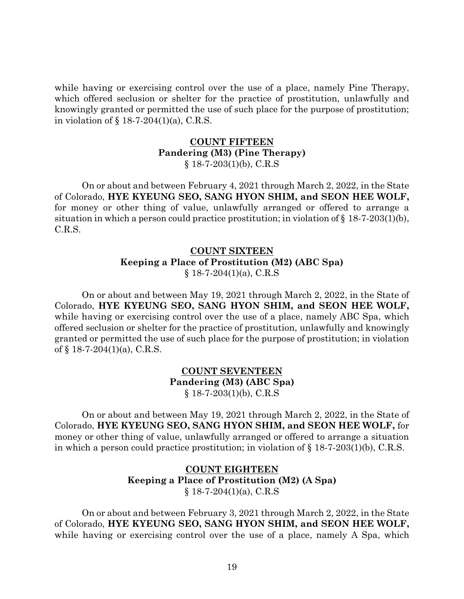while having or exercising control over the use of a place, namely Pine Therapy, which offered seclusion or shelter for the practice of prostitution, unlawfully and knowingly granted or permitted the use of such place for the purpose of prostitution; in violation of § 18-7-204(1)(a), C.R.S.

#### **COUNT FIFTEEN Pandering (M3) (Pine Therapy)**  $§$  18-7-203(1)(b), C.R.S

On or about and between February 4, 2021 through March 2, 2022, in the State of Colorado, **HYE KYEUNG SEO, SANG HYON SHIM, and SEON HEE WOLF,**  for money or other thing of value, unlawfully arranged or offered to arrange a situation in which a person could practice prostitution; in violation of  $\S 18-7-203(1)(b)$ , C.R.S.

# **COUNT SIXTEEN Keeping a Place of Prostitution (M2) (ABC Spa)**  $§$  18-7-204(1)(a), C.R.S

On or about and between May 19, 2021 through March 2, 2022, in the State of Colorado, **HYE KYEUNG SEO, SANG HYON SHIM, and SEON HEE WOLF,**  while having or exercising control over the use of a place, namely ABC Spa, which offered seclusion or shelter for the practice of prostitution, unlawfully and knowingly granted or permitted the use of such place for the purpose of prostitution; in violation of  $\S$  18-7-204(1)(a), C.R.S.

## **COUNT SEVENTEEN Pandering (M3) (ABC Spa)**  $§$  18-7-203(1)(b), C.R.S

On or about and between May 19, 2021 through March 2, 2022, in the State of Colorado, **HYE KYEUNG SEO, SANG HYON SHIM, and SEON HEE WOLF,** for money or other thing of value, unlawfully arranged or offered to arrange a situation in which a person could practice prostitution; in violation of  $\S 18-7-203(1)(b)$ , C.R.S.

# **COUNT EIGHTEEN Keeping a Place of Prostitution (M2) (A Spa)**  $§$  18-7-204(1)(a), C.R.S

On or about and between February 3, 2021 through March 2, 2022, in the State of Colorado, **HYE KYEUNG SEO, SANG HYON SHIM, and SEON HEE WOLF,**  while having or exercising control over the use of a place, namely A Spa, which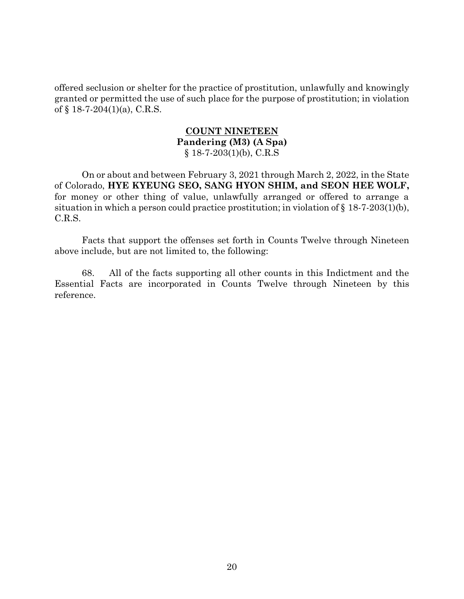offered seclusion or shelter for the practice of prostitution, unlawfully and knowingly granted or permitted the use of such place for the purpose of prostitution; in violation of § 18-7-204(1)(a), C.R.S.

#### **COUNT NINETEEN Pandering (M3) (A Spa)**  $§$  18-7-203(1)(b), C.R.S

On or about and between February 3, 2021 through March 2, 2022, in the State of Colorado, **HYE KYEUNG SEO, SANG HYON SHIM, and SEON HEE WOLF,**  for money or other thing of value, unlawfully arranged or offered to arrange a situation in which a person could practice prostitution; in violation of  $\S 18-7-203(1)(b)$ , C.R.S.

Facts that support the offenses set forth in Counts Twelve through Nineteen above include, but are not limited to, the following:

68. All of the facts supporting all other counts in this Indictment and the Essential Facts are incorporated in Counts Twelve through Nineteen by this reference.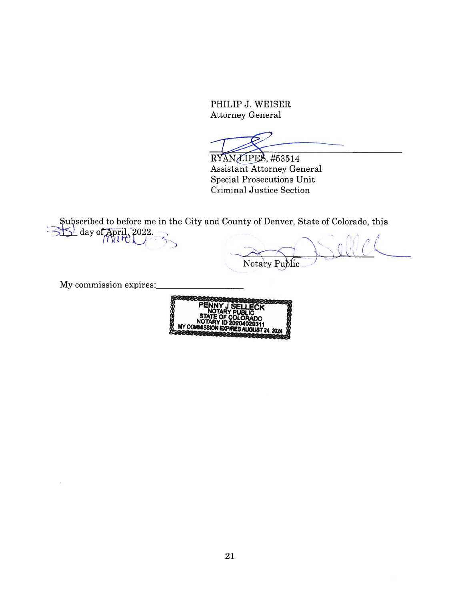PHILIP J. WEISER Attorney General

RYAN LIPES, #53514 Assistant Attorney General Special Prosecutions Unit Criminal Justice Section

Subscribed to before me in the City and County of Denver, State of Colorado, this  $\frac{1}{2}$ day of April, 2022.

Notary Public

My commission expires: